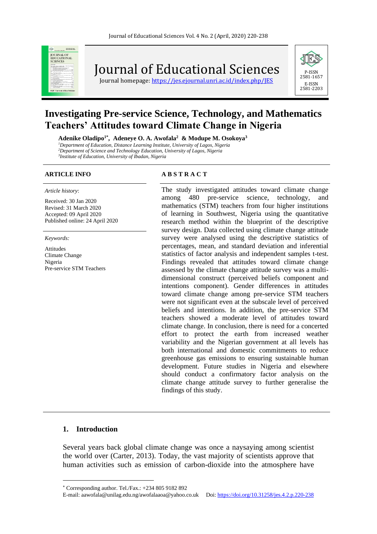

Journal of Educational Sciences

Journal homepage: https://jes.ejournal.unri.ac.id/index.php/IES



# **Investigating Pre-service Science, Technology, and Mathematics Teachers' Attitudes toward Climate Change in Nigeria**

**Adenike Oladipo1\* , Adeneye O. A. Awofala<sup>2</sup> & Modupe M. Osokoya<sup>3</sup>**

*<sup>1</sup>Department of Education, Distance Learning Institute, University of Lagos, Nigeria <sup>2</sup>Department of Science and Technology Education, University of Lagos, Nigeria*

*3 Institute of Education, University of Ibadan, Nigeria*

#### *Article history*:

Received: 30 Jan 2020 Revised: 31 March 2020 Accepted: 09 April 2020 Published online: 24 April 2020

*Keywords:*

Attitudes Climate Change Nigeria Pre-service STM Teachers

### **ARTICLE INFO A B S T R A C T**

The study investigated attitudes toward climate change among 480 pre-service science, technology, and mathematics (STM) teachers from four higher institutions of learning in Southwest, Nigeria using the quantitative research method within the blueprint of the descriptive survey design. Data collected using climate change attitude survey were analysed using the descriptive statistics of percentages, mean, and standard deviation and inferential statistics of factor analysis and independent samples t-test. Findings revealed that attitudes toward climate change assessed by the climate change attitude survey was a multidimensional construct (perceived beliefs component and intentions component). Gender differences in attitudes toward climate change among pre-service STM teachers were not significant even at the subscale level of perceived beliefs and intentions. In addition, the pre-service STM teachers showed a moderate level of attitudes toward climate change. In conclusion, there is need for a concerted effort to protect the earth from increased weather variability and the Nigerian government at all levels has both international and domestic commitments to reduce greenhouse gas emissions to ensuring sustainable human development. Future studies in Nigeria and elsewhere should conduct a confirmatory factor analysis on the climate change attitude survey to further generalise the findings of this study.

## **1. Introduction**

Several years back global climate change was once a naysaying among scientist the world over (Carter, 2013). Today, the vast majority of scientists approve that human activities such as emission of carbon-dioxide into the atmosphere have

Corresponding author. Tel./Fax.: +234 805 9182 892

E-mail: aawofala@unilag.edu.ng/awofalaaoa@yahoo.co.uk Doi[: https://doi.org/10.31258/jes.4.2.p.220-238](https://doi.org/10.31258/jes.4.2.p.220-238)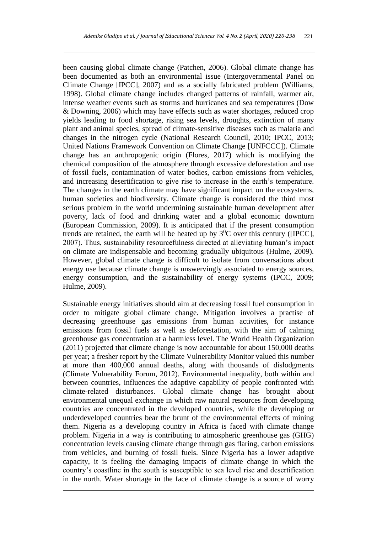been causing global climate change (Patchen, 2006). Global climate change has been documented as both an environmental issue (Intergovernmental Panel on Climate Change [IPCC], 2007) and as a socially fabricated problem (Williams, 1998). Global climate change includes changed patterns of rainfall, warmer air, intense weather events such as storms and hurricanes and sea temperatures (Dow & Downing, 2006) which may have effects such as water shortages, reduced crop yields leading to food shortage, rising sea levels, droughts, extinction of many plant and animal species, spread of climate-sensitive diseases such as malaria and changes in the nitrogen cycle (National Research Council, 2010; IPCC, 2013; United Nations Framework Convention on Climate Change [UNFCCC]). Climate change has an anthropogenic origin (Flores, 2017) which is modifying the chemical composition of the atmosphere through excessive deforestation and use of fossil fuels, contamination of water bodies, carbon emissions from vehicles, and increasing desertification to give rise to increase in the earth's temperature. The changes in the earth climate may have significant impact on the ecosystems, human societies and biodiversity. Climate change is considered the third most serious problem in the world undermining sustainable human development after poverty, lack of food and drinking water and a global economic downturn (European Commission, 2009). It is anticipated that if the present consumption trends are retained, the earth will be heated up by  $3^{0}C$  over this century ([IPCC], 2007). Thus, sustainability resourcefulness directed at alleviating human's impact on climate are indispensable and becoming gradually ubiquitous (Hulme, 2009). However, global climate change is difficult to isolate from conversations about energy use because climate change is unswervingly associated to energy sources, energy consumption, and the sustainability of energy systems (IPCC, 2009; Hulme, 2009).

Sustainable energy initiatives should aim at decreasing fossil fuel consumption in order to mitigate global climate change. Mitigation involves a practise of decreasing greenhouse gas emissions from human activities, for instance emissions from fossil fuels as well as deforestation, with the aim of calming greenhouse gas concentration at a harmless level. The World Health Organization (2011) projected that climate change is now accountable for about 150,000 deaths per year; a fresher report by the Climate Vulnerability Monitor valued this number at more than 400,000 annual deaths, along with thousands of dislodgments (Climate Vulnerability Forum, 2012). Environmental inequality, both within and between countries, influences the adaptive capability of people confronted with climate-related disturbances. Global climate change has brought about environmental unequal exchange in which raw natural resources from developing countries are concentrated in the developed countries, while the developing or underdeveloped countries bear the brunt of the environmental effects of mining them. Nigeria as a developing country in Africa is faced with climate change problem. Nigeria in a way is contributing to atmospheric greenhouse gas (GHG) concentration levels causing climate change through gas flaring, carbon emissions from vehicles, and burning of fossil fuels. Since Nigeria has a lower adaptive capacity, it is feeling the damaging impacts of climate change in which the country's coastline in the south is susceptible to sea level rise and desertification in the north. Water shortage in the face of climate change is a source of worry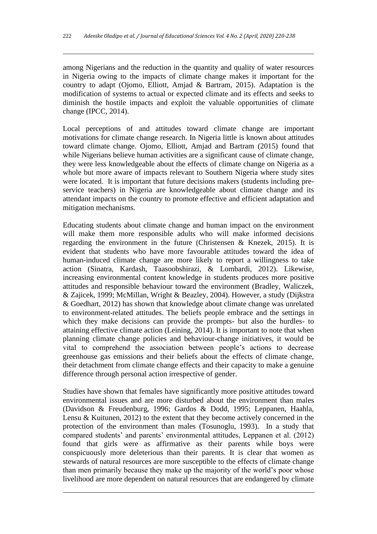among Nigerians and the reduction in the quantity and quality of water resources in Nigeria owing to the impacts of climate change makes it important for the country to adapt (Ojomo, Elliott, Amjad & Bartram, 2015). Adaptation is the modification of systems to actual or expected climate and its effects and seeks to diminish the hostile impacts and exploit the valuable opportunities of climate change (IPCC, 2014).

Local perceptions of and attitudes toward climate change are important motivations for climate change research. In Nigeria little is known about attitudes toward climate change. Ojomo, Elliott, Amjad and Bartram (2015) found that while Nigerians believe human activities are a significant cause of climate change, they were less knowledgeable about the effects of climate change on Nigeria as a whole but more aware of impacts relevant to Southern Nigeria where study sites were located. It is important that future decisions makers (students including preservice teachers) in Nigeria are knowledgeable about climate change and its attendant impacts on the country to promote effective and efficient adaptation and mitigation mechanisms.

Educating students about climate change and human impact on the environment will make them more responsible adults who will make informed decisions regarding the environment in the future (Christensen & Knezek, 2015). It is evident that students who have more favourable attitudes toward the idea of human-induced climate change are more likely to report a willingness to take action (Sinatra, Kardash, Taasoobshirazi, & Lombardi, 2012). Likewise, increasing environmental content knowledge in students produces more positive attitudes and responsible behaviour toward the environment (Bradley, Waliczek, & Zajicek, 1999; McMillan, Wright & Beazley, 2004). However, a study (Dijkstra & Goedhart, 2012) has shown that knowledge about climate change was unrelated to environment-related attitudes. The beliefs people embrace and the settings in which they make decisions can provide the prompts- but also the hurdles- to attaining effective climate action (Leining, 2014). It is important to note that when planning climate change policies and behaviour-change initiatives, it would be vital to comprehend the association between people's actions to decrease greenhouse gas emissions and their beliefs about the effects of climate change, their detachment from climate change effects and their capacity to make a genuine difference through personal action irrespective of gender.

Studies have shown that females have significantly more positive attitudes toward environmental issues and are more disturbed about the environment than males (Davidson & Freudenburg, 1996; Gardos & Dodd, 1995; Leppanen, Haahla, Lensu & Kuitunen, 2012) to the extent that they become actively concerned in the protection of the environment than males (Tosunoglu, 1993). In a study that compared students' and parents' environmental attitudes, Leppanen et al. (2012) found that girls were as affirmative as their parents while boys were conspicuously more deleterious than their parents. It is clear that women as stewards of natural resources are more susceptible to the effects of climate change than men primarily because they make up the majority of the world's poor whose livelihood are more dependent on natural resources that are endangered by climate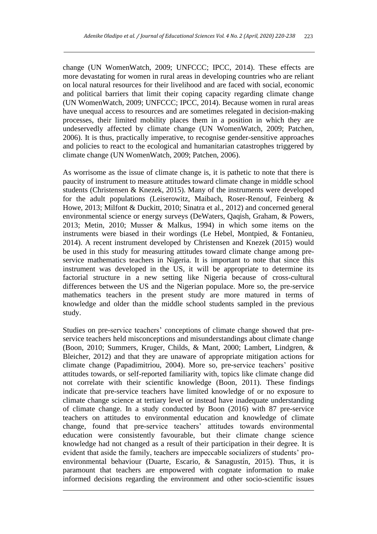change (UN WomenWatch, 2009; UNFCCC; IPCC, 2014). These effects are more devastating for women in rural areas in developing countries who are reliant on local natural resources for their livelihood and are faced with social, economic and political barriers that limit their coping capacity regarding climate change (UN WomenWatch, 2009; UNFCCC; IPCC, 2014). Because women in rural areas have unequal access to resources and are sometimes relegated in decision-making processes, their limited mobility places them in a position in which they are undeservedly affected by climate change (UN WomenWatch, 2009; Patchen, 2006). It is thus, practically imperative, to recognise gender-sensitive approaches and policies to react to the ecological and humanitarian catastrophes triggered by climate change (UN WomenWatch, 2009; Patchen, 2006).

As worrisome as the issue of climate change is, it is pathetic to note that there is paucity of instrument to measure attitudes toward climate change in middle school students (Christensen & Knezek, 2015). Many of the instruments were developed for the adult populations (Leiserowitz, Maibach, Roser-Renouf, Feinberg & Howe, 2013; Milfont & Duckitt, 2010; Sinatra et al., 2012) and concerned general environmental science or energy surveys (DeWaters, Qaqish, Graham, & Powers, 2013; Metin, 2010; Musser & Malkus, 1994) in which some items on the instruments were biased in their wordings (Le Hebel, Montpied, & Fontanieu, 2014). A recent instrument developed by Christensen and Knezek (2015) would be used in this study for measuring attitudes toward climate change among preservice mathematics teachers in Nigeria. It is important to note that since this instrument was developed in the US, it will be appropriate to determine its factorial structure in a new setting like Nigeria because of cross-cultural differences between the US and the Nigerian populace. More so, the pre-service mathematics teachers in the present study are more matured in terms of knowledge and older than the middle school students sampled in the previous study.

Studies on pre-service teachers' conceptions of climate change showed that preservice teachers held misconceptions and misunderstandings about climate change (Boon, 2010; Summers, Kruger, Childs, & Mant, 2000; Lambert, Lindgren, & Bleicher, 2012) and that they are unaware of appropriate mitigation actions for climate change (Papadimitriou, 2004). More so, pre-service teachers' positive attitudes towards, or self-reported familiarity with, topics like climate change did not correlate with their scientific knowledge (Boon, 2011). These findings indicate that pre-service teachers have limited knowledge of or no exposure to climate change science at tertiary level or instead have inadequate understanding of climate change. In a study conducted by Boon (2016) with 87 pre-service teachers on attitudes to environmental education and knowledge of climate change, found that pre-service teachers' attitudes towards environmental education were consistently favourable, but their climate change science knowledge had not changed as a result of their participation in their degree. It is evident that aside the family, teachers are impeccable socializers of students' proenvironmental behaviour (Duarte, Escario, & Sanagustín, 2015). Thus, it is paramount that teachers are empowered with cognate information to make informed decisions regarding the environment and other socio-scientific issues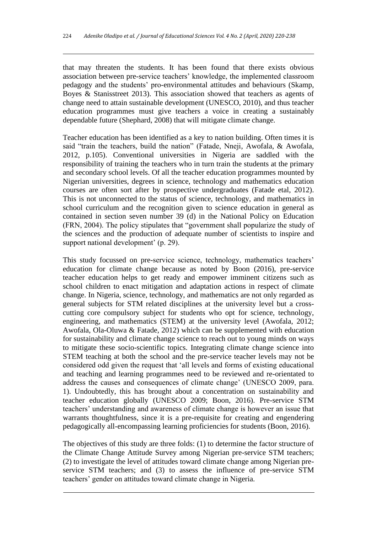that may threaten the students. It has been found that there exists obvious association between pre-service teachers' knowledge, the implemented classroom pedagogy and the students' pro-environmental attitudes and behaviours (Skamp, Boyes & Stanisstreet 2013). This association showed that teachers as agents of change need to attain sustainable development (UNESCO, 2010), and thus teacher education programmes must give teachers a voice in creating a sustainably dependable future (Shephard, 2008) that will mitigate climate change.

Teacher education has been identified as a key to nation building. Often times it is said "train the teachers, build the nation" (Fatade, Nneji, Awofala, & Awofala, 2012, p.105). Conventional universities in Nigeria are saddled with the responsibility of training the teachers who in turn train the students at the primary and secondary school levels. Of all the teacher education programmes mounted by Nigerian universities, degrees in science, technology and mathematics education courses are often sort after by prospective undergraduates (Fatade etal, 2012). This is not unconnected to the status of science, technology, and mathematics in school curriculum and the recognition given to science education in general as contained in section seven number 39 (d) in the National Policy on Education (FRN, 2004). The policy stipulates that "government shall popularize the study of the sciences and the production of adequate number of scientists to inspire and support national development' (p. 29).

This study focussed on pre-service science, technology, mathematics teachers' education for climate change because as noted by Boon (2016), pre-service teacher education helps to get ready and empower imminent citizens such as school children to enact mitigation and adaptation actions in respect of climate change. In Nigeria, science, technology, and mathematics are not only regarded as general subjects for STM related disciplines at the university level but a crosscutting core compulsory subject for students who opt for science, technology, engineering, and mathematics (STEM) at the university level (Awofala, 2012; Awofala, Ola-Oluwa & Fatade, 2012) which can be supplemented with education for sustainability and climate change science to reach out to young minds on ways to mitigate these socio-scientific topics. Integrating climate change science into STEM teaching at both the school and the pre-service teacher levels may not be considered odd given the request that 'all levels and forms of existing educational and teaching and learning programmes need to be reviewed and re-orientated to address the causes and consequences of climate change' (UNESCO 2009, para. 1). Undoubtedly, this has brought about a concentration on sustainability and teacher education globally (UNESCO 2009; Boon, 2016). Pre-service STM teachers' understanding and awareness of climate change is however an issue that warrants thoughtfulness, since it is a pre-requisite for creating and engendering pedagogically all-encompassing learning proficiencies for students (Boon, 2016).

The objectives of this study are three folds: (1) to determine the factor structure of the Climate Change Attitude Survey among Nigerian pre-service STM teachers; (2) to investigate the level of attitudes toward climate change among Nigerian preservice STM teachers; and (3) to assess the influence of pre-service STM teachers' gender on attitudes toward climate change in Nigeria.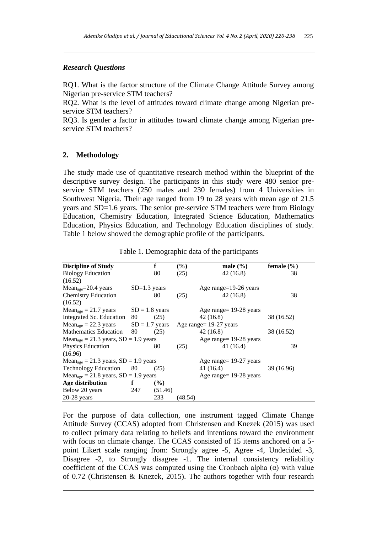# *Research Questions*

RQ1. What is the factor structure of the Climate Change Attitude Survey among Nigerian pre-service STM teachers?

RQ2. What is the level of attitudes toward climate change among Nigerian preservice STM teachers?

RQ3. Is gender a factor in attitudes toward climate change among Nigerian preservice STM teachers?

#### **2. Methodology**

The study made use of quantitative research method within the blueprint of the descriptive survey design. The participants in this study were 480 senior preservice STM teachers (250 males and 230 females) from 4 Universities in Southwest Nigeria. Their age ranged from 19 to 28 years with mean age of 21.5 years and SD=1.6 years. The senior pre-service STM teachers were from Biology Education, Chemistry Education, Integrated Science Education, Mathematics Education, Physics Education, and Technology Education disciplines of study. Table 1 below showed the demographic profile of the participants.

| <b>Discipline of Study</b>                                        |                  | f       | $(\%)$  | male $(\% )$              | female $(\% )$ |
|-------------------------------------------------------------------|------------------|---------|---------|---------------------------|----------------|
| <b>Biology Education</b>                                          |                  | 80      | (25)    | 42 (16.8)                 | 38             |
| (16.52)                                                           |                  |         |         |                           |                |
| $Mean_{age} = 20.4 \text{ years}$                                 | $SD=1.3$ years   |         |         | Age range=19-26 years     |                |
| <b>Chemistry Education</b>                                        |                  | 80      | (25)    | 42(16.8)                  | 38             |
| (16.52)                                                           |                  |         |         |                           |                |
| $Mean_{age} = 21.7 \text{ years}$                                 | $SD = 1.8$ years |         |         | Age range = $19-28$ years |                |
| Integrated Sc. Education 80                                       |                  | (25)    |         | 42 (16.8)                 | 38 (16.52)     |
| $Mean_{\text{age}} = 22.3 \text{ years}$ $SD = 1.7 \text{ years}$ |                  |         |         | Age range= 19-27 years    |                |
| Mathematics Education 80                                          |                  | (25)    |         | 42(16.8)                  | 38 (16.52)     |
| Mean <sub>age</sub> = 21.3 years, $SD = 1.9$ years                |                  |         |         | Age range = $19-28$ years |                |
| <b>Physics Education</b>                                          |                  | 80      | (25)    | 41 (16.4)                 | 39             |
| (16.96)                                                           |                  |         |         |                           |                |
| $Mean_{age} = 21.3 \text{ years}, SD = 1.9 \text{ years}$         |                  |         |         | Age range = $19-27$ years |                |
| Technology Education 80                                           |                  | (25)    |         | 41 (16.4)                 | 39 (16.96)     |
| $Mean_{age} = 21.8 \text{ years}, SD = 1.9 \text{ years}$         |                  |         |         | Age range = 19-28 years   |                |
| Age distribution                                                  | $\mathbf f$      | $($ %)  |         |                           |                |
| Below 20 years                                                    | 247              | (51.46) |         |                           |                |
| $20-28$ years                                                     |                  | 233     | (48.54) |                           |                |

Table 1. Demographic data of the participants

For the purpose of data collection, one instrument tagged Climate Change Attitude Survey (CCAS) adopted from Christensen and Knezek (2015) was used to collect primary data relating to beliefs and intentions toward the environment with focus on climate change. The CCAS consisted of 15 items anchored on a 5point Likert scale ranging from: Strongly agree -5, Agree -4, Undecided -3, Disagree -2, to Strongly disagree -1. The internal consistency reliability coefficient of the CCAS was computed using the Cronbach alpha  $(\alpha)$  with value of 0.72 (Christensen & Knezek, 2015). The authors together with four research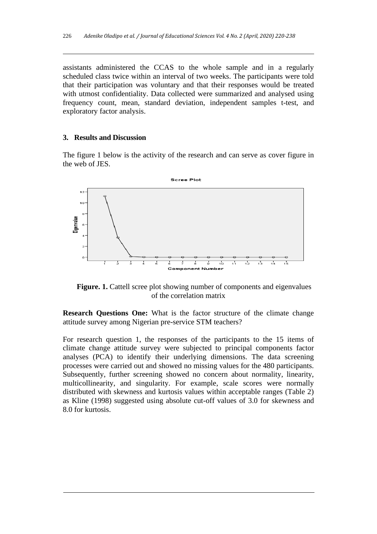assistants administered the CCAS to the whole sample and in a regularly scheduled class twice within an interval of two weeks. The participants were told that their participation was voluntary and that their responses would be treated with utmost confidentiality. Data collected were summarized and analysed using frequency count, mean, standard deviation, independent samples t-test, and exploratory factor analysis.

# **3. Results and Discussion**

The figure 1 below is the activity of the research and can serve as cover figure in the web of JES.



Figure. 1. Cattell scree plot showing number of components and eigenvalues of the correlation matrix

**Research Questions One:** What is the factor structure of the climate change attitude survey among Nigerian pre-service STM teachers?

For research question 1, the responses of the participants to the 15 items of climate change attitude survey were subjected to principal components factor analyses (PCA) to identify their underlying dimensions. The data screening processes were carried out and showed no missing values for the 480 participants. Subsequently, further screening showed no concern about normality, linearity, multicollinearity, and singularity. For example, scale scores were normally distributed with skewness and kurtosis values within acceptable ranges (Table 2) as Kline (1998) suggested using absolute cut-off values of 3.0 for skewness and 8.0 for kurtosis.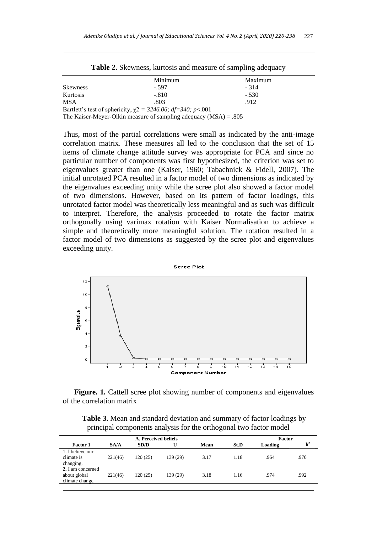|                 | Minimum                                                            | Maximum |  |
|-----------------|--------------------------------------------------------------------|---------|--|
| <b>Skewness</b> | $-597$                                                             | $-314$  |  |
| Kurtosis        | $-.810$                                                            | $-.530$ |  |
| <b>MSA</b>      | .803                                                               | .912    |  |
|                 | Bartlett's test of sphericity, $\chi$ 2 = 3246.06; df=340; p<.001  |         |  |
|                 | The Kaiser-Meyer-Olkin measure of sampling adequacy $(MSA) = .805$ |         |  |

**Table 2.** Skewness, kurtosis and measure of sampling adequacy

Thus, most of the partial correlations were small as indicated by the anti-image correlation matrix. These measures all led to the conclusion that the set of 15 items of climate change attitude survey was appropriate for PCA and since no particular number of components was first hypothesized, the criterion was set to eigenvalues greater than one (Kaiser, 1960; Tabachnick & Fidell, 2007). The initial unrotated PCA resulted in a factor model of two dimensions as indicated by the eigenvalues exceeding unity while the scree plot also showed a factor model of two dimensions. However, based on its pattern of factor loadings, this unrotated factor model was theoretically less meaningful and as such was difficult to interpret. Therefore, the analysis proceeded to rotate the factor matrix orthogonally using varimax rotation with Kaiser Normalisation to achieve a simple and theoretically more meaningful solution. The rotation resulted in a factor model of two dimensions as suggested by the scree plot and eigenvalues exceeding unity.



Figure. 1. Cattell scree plot showing number of components and eigenvalues of the correlation matrix

**Table 3.** Mean and standard deviation and summary of factor loadings by principal components analysis for the orthogonal two factor model

| A. Perceived beliefs                                             |                   |         |          |      |      | Factor  |                |  |
|------------------------------------------------------------------|-------------------|---------|----------|------|------|---------|----------------|--|
| <b>Factor 1</b>                                                  | S <sub>A</sub> /A | SD/D    |          | Mean | St.D | Loading | h <sup>2</sup> |  |
| 1. I believe our<br>climate is<br>changing.<br>2. I am concerned | 221(46)           | 120(25) | 139 (29) | 3.17 | 1.18 | .964    | .970           |  |
| about global<br>climate change.                                  | 221(46)           | 120(25) | 139 (29) | 3.18 | 1.16 | .974    | .992           |  |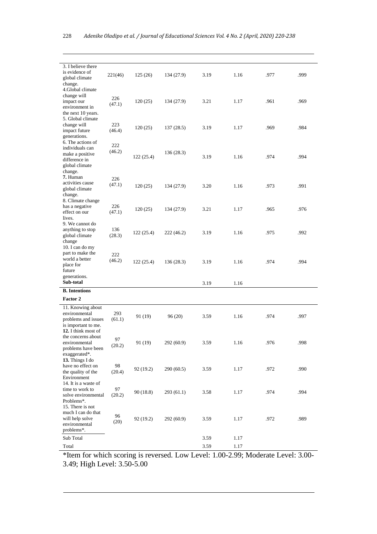| 3. I believe there<br>is evidence of<br>global climate | 221(46)      | 125(26)   | 134 (27.9) | 3.19 | 1.16 | .977 | .999 |
|--------------------------------------------------------|--------------|-----------|------------|------|------|------|------|
| change.<br>4.Global climate                            |              |           |            |      |      |      |      |
| change will<br>impact our                              | 226          | 120(25)   | 134 (27.9) | 3.21 | 1.17 | .961 | .969 |
| environment in                                         | (47.1)       |           |            |      |      |      |      |
| the next 10 years.                                     |              |           |            |      |      |      |      |
| 5. Global climate<br>change will                       | 223          |           |            |      |      |      |      |
| impact future                                          | (46.4)       | 120(25)   | 137(28.5)  | 3.19 | 1.17 | .969 | .984 |
| generations.                                           |              |           |            |      |      |      |      |
| 6. The actions of<br>individuals can                   | 222          |           |            |      |      |      |      |
| make a positive                                        | (46.2)       |           | 136(28.3)  | 3.19 | 1.16 | .974 | .994 |
| difference in                                          |              | 122(25.4) |            |      |      |      |      |
| global climate<br>change.                              |              |           |            |      |      |      |      |
| 7. Human                                               | 226          |           |            |      |      |      |      |
| activities cause                                       | (47.1)       | 120(25)   | 134 (27.9) | 3.20 | 1.16 | .973 | .991 |
| global climate<br>change.                              |              |           |            |      |      |      |      |
| 8. Climate change                                      |              |           |            |      |      |      |      |
| has a negative                                         | 226          | 120(25)   | 134 (27.9) | 3.21 | 1.17 | .965 | .976 |
| effect on our<br>lives.                                | (47.1)       |           |            |      |      |      |      |
| 9. We cannot do                                        |              |           |            |      |      |      |      |
| anything to stop                                       | 136          | 122(25.4) | 222 (46.2) | 3.19 | 1.16 | .975 | .992 |
| global climate<br>change                               | (28.3)       |           |            |      |      |      |      |
| 10. I can do my                                        |              |           |            |      |      |      |      |
| part to make the                                       | 222          |           |            |      |      |      |      |
| world a better<br>place for                            | (46.2)       | 122(25.4) | 136(28.3)  | 3.19 | 1.16 | .974 | .994 |
| future                                                 |              |           |            |      |      |      |      |
| generations.                                           |              |           |            |      |      |      |      |
| Sub-total                                              |              |           |            | 3.19 | 1.16 |      |      |
| <b>B.</b> Intentions                                   |              |           |            |      |      |      |      |
| <b>Factor 2</b>                                        |              |           |            |      |      |      |      |
| 11. Knowing about<br>environmental                     | 293          |           |            |      |      |      |      |
| problems and issues                                    | (61.1)       | 91 (19)   | 96(20)     | 3.59 | 1.16 | .974 | .997 |
| is important to me.                                    |              |           |            |      |      |      |      |
| 12. I think most of<br>the concerns about              |              |           |            |      |      |      |      |
| environmental                                          | 97<br>(20.2) | 91 (19)   | 292 (60.9) | 3.59 | 1.16 | .976 | .998 |
| problems have been                                     |              |           |            |      |      |      |      |
| exaggerated*.<br>13. Things I do                       |              |           |            |      |      |      |      |
| have no effect on                                      | 98           |           |            |      |      |      |      |
| the quality of the                                     | (20.4)       | 92 (19.2) | 290(60.5)  | 3.59 | 1.17 | .972 | .990 |
| Environment<br>14. It is a waste of                    |              |           |            |      |      |      |      |
| time to work to                                        | 97           |           |            |      |      |      |      |
| solve environmental                                    | (20.2)       | 90(18.8)  | 293(61.1)  | 3.58 | 1.17 | .974 | .994 |
| Problems*.<br>15. There is not                         |              |           |            |      |      |      |      |
| much I can do that                                     |              |           |            |      |      |      |      |
| will help solve                                        | 96<br>(20)   | 92 (19.2) | 292 (60.9) | 3.59 | 1.17 | .972 | .989 |
| environmental<br>problems*.                            |              |           |            |      |      |      |      |
|                                                        |              |           |            |      |      |      |      |
| Sub Total                                              |              |           |            | 3.59 | 1.17 |      |      |
| Total                                                  |              |           |            | 3.59 | 1.17 |      |      |

\*Item for which scoring is reversed. Low Level: 1.00-2.99; Moderate Level: 3.00- 3.49; High Level: 3.50-5.00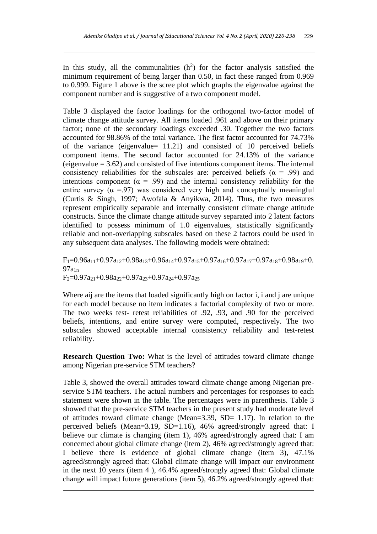In this study, all the communalities  $(h^2)$  for the factor analysis satisfied the minimum requirement of being larger than 0.50, in fact these ranged from 0.969 to 0.999. Figure 1 above is the scree plot which graphs the eigenvalue against the component number and is suggestive of a two component model.

Table 3 displayed the factor loadings for the orthogonal two-factor model of climate change attitude survey. All items loaded .961 and above on their primary factor; none of the secondary loadings exceeded .30. Together the two factors accounted for 98.86% of the total variance. The first factor accounted for 74.73% of the variance (eigenvalue= 11.21) and consisted of 10 perceived beliefs component items. The second factor accounted for 24.13% of the variance (eigenvalue  $= 3.62$ ) and consisted of five intentions component items. The internal consistency reliabilities for the subscales are: perceived beliefs ( $\alpha$  = .99) and intentions component ( $\alpha = .99$ ) and the internal consistency reliability for the entire survey ( $\alpha$  =.97) was considered very high and conceptually meaningful (Curtis & Singh, 1997; Awofala & Anyikwa, 2014). Thus, the two measures represent empirically separable and internally consistent climate change attitude constructs. Since the climate change attitude survey separated into 2 latent factors identified to possess minimum of 1.0 eigenvalues, statistically significantly reliable and non-overlapping subscales based on these 2 factors could be used in any subsequent data analyses. The following models were obtained:

 $F_1=0.96a_{11}+0.97a_{12}+0.98a_{13}+0.96a_{14}+0.97a_{15}+0.97a_{16}+0.97a_{17}+0.97a_{18}+0.98a_{19}+0.$  $97a_{1n}$  $F_2=0.97a_{21}+0.98a_{22}+0.97a_{23}+0.97a_{24}+0.97a_{25}$ 

Where aij are the items that loaded significantly high on factor i, i and j are unique for each model because no item indicates a factorial complexity of two or more. The two weeks test- retest reliabilities of .92, .93, and .90 for the perceived beliefs, intentions, and entire survey were computed, respectively. The two subscales showed acceptable internal consistency reliability and test-retest reliability.

**Research Question Two:** What is the level of attitudes toward climate change among Nigerian pre-service STM teachers?

Table 3, showed the overall attitudes toward climate change among Nigerian preservice STM teachers. The actual numbers and percentages for responses to each statement were shown in the table. The percentages were in parenthesis. Table 3 showed that the pre-service STM teachers in the present study had moderate level of attitudes toward climate change (Mean=3.39, SD= 1.17). In relation to the perceived beliefs (Mean=3.19, SD=1.16), 46% agreed/strongly agreed that: I believe our climate is changing (item 1), 46% agreed/strongly agreed that: I am concerned about global climate change (item 2), 46% agreed/strongly agreed that: I believe there is evidence of global climate change (item 3), 47.1% agreed/strongly agreed that: Global climate change will impact our environment in the next 10 years (item 4 ), 46.4% agreed/strongly agreed that: Global climate change will impact future generations (item 5), 46.2% agreed/strongly agreed that: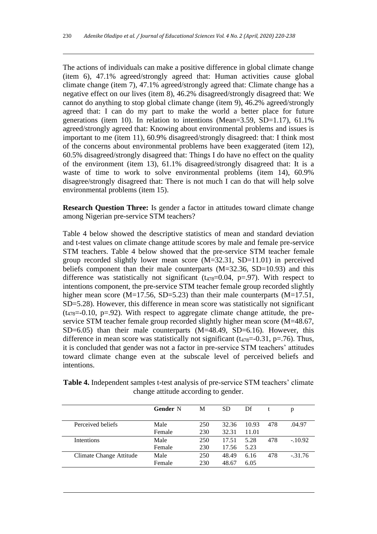The actions of individuals can make a positive difference in global climate change (item 6), 47.1% agreed/strongly agreed that: Human activities cause global climate change (item 7), 47.1% agreed/strongly agreed that: Climate change has a negative effect on our lives (item 8), 46.2% disagreed/strongly disagreed that: We cannot do anything to stop global climate change (item 9), 46.2% agreed/strongly agreed that: I can do my part to make the world a better place for future generations (item 10). In relation to intentions (Mean=3.59, SD=1.17), 61.1% agreed/strongly agreed that: Knowing about environmental problems and issues is important to me (item 11), 60.9% disagreed/strongly disagreed: that: I think most of the concerns about environmental problems have been exaggerated (item 12), 60.5% disagreed/strongly disagreed that: Things I do have no effect on the quality of the environment (item 13), 61.1% disagreed/strongly disagreed that: It is a waste of time to work to solve environmental problems (item 14), 60.9% disagree/strongly disagreed that: There is not much I can do that will help solve environmental problems (item 15).

**Research Question Three:** Is gender a factor in attitudes toward climate change among Nigerian pre-service STM teachers?

Table 4 below showed the descriptive statistics of mean and standard deviation and t-test values on climate change attitude scores by male and female pre-service STM teachers. Table 4 below showed that the pre-service STM teacher female group recorded slightly lower mean score (M=32.31, SD=11.01) in perceived beliefs component than their male counterparts (M=32.36, SD=10.93) and this difference was statistically not significant  $(t_{478}=0.04, p=.97)$ . With respect to intentions component, the pre-service STM teacher female group recorded slightly higher mean score (M=17.56, SD=5.23) than their male counterparts (M=17.51, SD=5.28). However, this difference in mean score was statistically not significant  $(t_{478}=-0.10, p=.92)$ . With respect to aggregate climate change attitude, the preservice STM teacher female group recorded slightly higher mean score (M=48.67, SD=6.05) than their male counterparts (M=48.49, SD=6.16). However, this difference in mean score was statistically not significant  $(t_{478}=-0.31, p=.76)$ . Thus, it is concluded that gender was not a factor in pre-service STM teachers' attitudes toward climate change even at the subscale level of perceived beliefs and intentions.

**Table 4.** Independent samples t-test analysis of pre-service STM teachers' climate change attitude according to gender.

|                         | <b>Gender N</b> | М   | <b>SD</b> | Df    |     | p         |
|-------------------------|-----------------|-----|-----------|-------|-----|-----------|
| Perceived beliefs       | Male            | 250 | 32.36     | 10.93 | 478 | .04.97    |
|                         | Female          | 230 | 32.31     | 11.01 |     |           |
| <b>Intentions</b>       | Male            | 250 | 17.51     | 5.28  | 478 | $-.10.92$ |
|                         | Female          | 230 | 17.56     | 5.23  |     |           |
| Climate Change Attitude | Male            | 250 | 48.49     | 6.16  | 478 | $-.31.76$ |
|                         | Female          | 230 | 48.67     | 6.05  |     |           |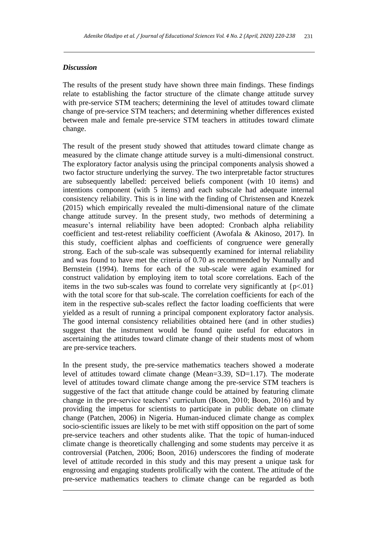# *Discussion*

The results of the present study have shown three main findings. These findings relate to establishing the factor structure of the climate change attitude survey with pre-service STM teachers; determining the level of attitudes toward climate change of pre-service STM teachers; and determining whether differences existed between male and female pre-service STM teachers in attitudes toward climate change.

The result of the present study showed that attitudes toward climate change as measured by the climate change attitude survey is a multi-dimensional construct. The exploratory factor analysis using the principal components analysis showed a two factor structure underlying the survey. The two interpretable factor structures are subsequently labelled: perceived beliefs component (with 10 items) and intentions component (with 5 items) and each subscale had adequate internal consistency reliability. This is in line with the finding of Christensen and Knezek (2015) which empirically revealed the multi-dimensional nature of the climate change attitude survey. In the present study, two methods of determining a measure's internal reliability have been adopted: Cronbach alpha reliability coefficient and test-retest reliability coefficient (Awofala & Akinoso, 2017). In this study, coefficient alphas and coefficients of congruence were generally strong. Each of the sub-scale was subsequently examined for internal reliability and was found to have met the criteria of 0.70 as recommended by Nunnally and Bernstein (1994). Items for each of the sub-scale were again examined for construct validation by employing item to total score correlations. Each of the items in the two sub-scales was found to correlate very significantly at  $\{p<01\}$ with the total score for that sub-scale. The correlation coefficients for each of the item in the respective sub-scales reflect the factor loading coefficients that were yielded as a result of running a principal component exploratory factor analysis. The good internal consistency reliabilities obtained here (and in other studies) suggest that the instrument would be found quite useful for educators in ascertaining the attitudes toward climate change of their students most of whom are pre-service teachers.

In the present study, the pre-service mathematics teachers showed a moderate level of attitudes toward climate change (Mean=3.39, SD=1.17). The moderate level of attitudes toward climate change among the pre-service STM teachers is suggestive of the fact that attitude change could be attained by featuring climate change in the pre-service teachers' curriculum (Boon, 2010; Boon, 2016) and by providing the impetus for scientists to participate in public debate on climate change (Patchen, 2006) in Nigeria. Human-induced climate change as complex socio-scientific issues are likely to be met with stiff opposition on the part of some pre-service teachers and other students alike. That the topic of human-induced climate change is theoretically challenging and some students may perceive it as controversial (Patchen, 2006; Boon, 2016) underscores the finding of moderate level of attitude recorded in this study and this may present a unique task for engrossing and engaging students prolifically with the content. The attitude of the pre-service mathematics teachers to climate change can be regarded as both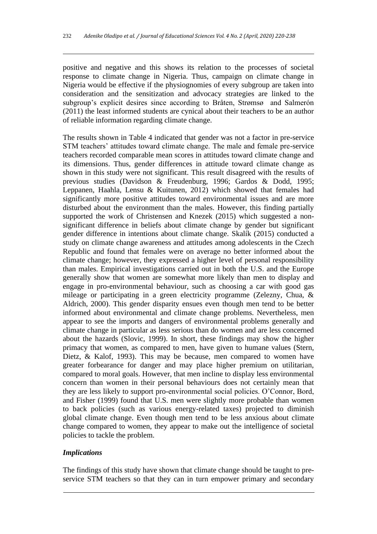positive and negative and this shows its relation to the processes of societal response to climate change in Nigeria. Thus, campaign on climate change in Nigeria would be effective if the physiognomies of every subgroup are taken into consideration and the sensitization and advocacy strategies are linked to the subgroup's explicit desires since according to Bråten, Strømsø and Salmerón (2011) the least informed students are cynical about their teachers to be an author of reliable information regarding climate change.

The results shown in Table 4 indicated that gender was not a factor in pre-service STM teachers' attitudes toward climate change. The male and female pre-service teachers recorded comparable mean scores in attitudes toward climate change and its dimensions. Thus, gender differences in attitude toward climate change as shown in this study were not significant. This result disagreed with the results of previous studies (Davidson & Freudenburg, 1996; Gardos & Dodd, 1995; Leppanen, Haahla, Lensu & Kuitunen, 2012) which showed that females had significantly more positive attitudes toward environmental issues and are more disturbed about the environment than the males. However, this finding partially supported the work of Christensen and Knezek (2015) which suggested a nonsignificant difference in beliefs about climate change by gender but significant gender difference in intentions about climate change. Skalík (2015) conducted a study on climate change awareness and attitudes among adolescents in the Czech Republic and found that females were on average no better informed about the climate change; however, they expressed a higher level of personal responsibility than males. Empirical investigations carried out in both the U.S. and the Europe generally show that women are somewhat more likely than men to display and engage in pro-environmental behaviour, such as choosing a car with good gas mileage or participating in a green electricity programme (Zelezny, Chua, & Aldrich, 2000). This gender disparity ensues even though men tend to be better informed about environmental and climate change problems. Nevertheless, men appear to see the imports and dangers of environmental problems generally and climate change in particular as less serious than do women and are less concerned about the hazards (Slovic, 1999). In short, these findings may show the higher primacy that women, as compared to men, have given to humane values (Stern, Dietz, & Kalof, 1993). This may be because, men compared to women have greater forbearance for danger and may place higher premium on utilitarian, compared to moral goals. However, that men incline to display less environmental concern than women in their personal behaviours does not certainly mean that they are less likely to support pro-environmental social policies. O'Connor, Bord, and Fisher (1999) found that U.S. men were slightly more probable than women to back policies (such as various energy-related taxes) projected to diminish global climate change. Even though men tend to be less anxious about climate change compared to women, they appear to make out the intelligence of societal policies to tackle the problem.

# *Implications*

The findings of this study have shown that climate change should be taught to preservice STM teachers so that they can in turn empower primary and secondary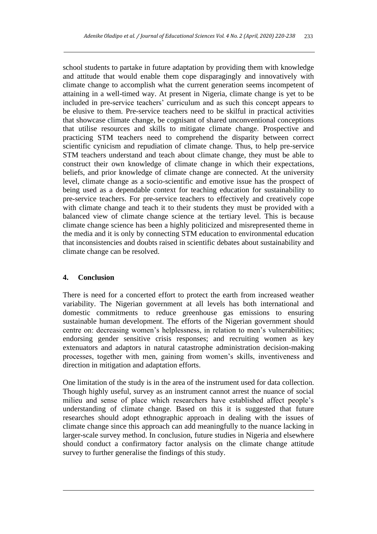school students to partake in future adaptation by providing them with knowledge and attitude that would enable them cope disparagingly and innovatively with climate change to accomplish what the current generation seems incompetent of attaining in a well-timed way. At present in Nigeria, climate change is yet to be included in pre-service teachers' curriculum and as such this concept appears to be elusive to them. Pre-service teachers need to be skilful in practical activities that showcase climate change, be cognisant of shared unconventional conceptions that utilise resources and skills to mitigate climate change. Prospective and practicing STM teachers need to comprehend the disparity between correct scientific cynicism and repudiation of climate change. Thus, to help pre-service STM teachers understand and teach about climate change, they must be able to construct their own knowledge of climate change in which their expectations, beliefs, and prior knowledge of climate change are connected. At the university level, climate change as a socio-scientific and emotive issue has the prospect of being used as a dependable context for teaching education for sustainability to pre-service teachers. For pre-service teachers to effectively and creatively cope with climate change and teach it to their students they must be provided with a balanced view of climate change science at the tertiary level. This is because climate change science has been a highly politicized and misrepresented theme in the media and it is only by connecting STM education to environmental education that inconsistencies and doubts raised in scientific debates about sustainability and climate change can be resolved.

# **4. Conclusion**

There is need for a concerted effort to protect the earth from increased weather variability. The Nigerian government at all levels has both international and domestic commitments to reduce greenhouse gas emissions to ensuring sustainable human development. The efforts of the Nigerian government should centre on: decreasing women's helplessness, in relation to men's vulnerabilities; endorsing gender sensitive crisis responses; and recruiting women as key extenuators and adaptors in natural catastrophe administration decision-making processes, together with men, gaining from women's skills, inventiveness and direction in mitigation and adaptation efforts.

One limitation of the study is in the area of the instrument used for data collection. Though highly useful, survey as an instrument cannot arrest the nuance of social milieu and sense of place which researchers have established affect people's understanding of climate change. Based on this it is suggested that future researches should adopt ethnographic approach in dealing with the issues of climate change since this approach can add meaningfully to the nuance lacking in larger-scale survey method. In conclusion, future studies in Nigeria and elsewhere should conduct a confirmatory factor analysis on the climate change attitude survey to further generalise the findings of this study.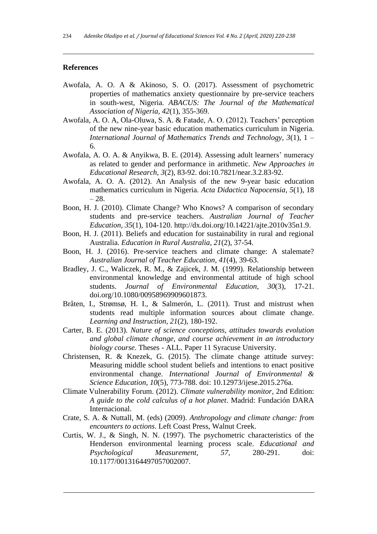# **References**

- Awofala, A. O. A & Akinoso, S. O. (2017). Assessment of psychometric properties of mathematics anxiety questionnaire by pre-service teachers in south-west, Nigeria. *ABACUS: The Journal of the Mathematical Association of Nigeria, 42*(1), 355-369.
- Awofala, A. O. A, Ola-Oluwa, S. A. & Fatade, A. O. (2012). Teachers' perception of the new nine-year basic education mathematics curriculum in Nigeria. *International Journal of Mathematics Trends and Technology, 3*(1), 1 – 6.
- Awofala, A. O. A. & Anyikwa, B. E. (2014). Assessing adult learners' numeracy as related to gender and performance in arithmetic. *New Approaches in Educational Research, 3*(2), 83-92. doi:10.7821/near.3.2.83-92.
- Awofala, A. O. A. (2012). An Analysis of the new 9-year basic education mathematics curriculum in Nigeria. *Acta Didactica Napocensia, 5*(1), 18  $-28.$
- Boon, H. J. (2010). Climate Change? Who Knows? A comparison of secondary students and pre-service teachers. *Australian Journal of Teacher Education, 35*(1), 104-120. [http://dx.doi.org/10.14221/ajte.2010v35n1.9.](http://dx.doi.org/10.14221/ajte.2010v35n1.9)
- Boon, H. J. (2011). Beliefs and education for sustainability in rural and regional Australia. *Education in Rural Australia, 21*(2), 37-54.
- Boon, H. J. (2016). Pre-service teachers and climate change: A stalemate? *Australian Journal of Teacher Education, 41*(4), 39-63.
- Bradley, J. C., Waliczek, R. M., & Zajicek, J. M. (1999). Relationship between environmental knowledge and environmental attitude of high school students. *Journal of Environmental Education, 30*(3), 17-21. [doi.org/10.1080/00958969909601873.](https://doi.org/10.1080/00958969909601873)
- Bråten, I., Strømsø, H. I., & Salmerón, L. (2011). Trust and mistrust when students read multiple information sources about climate change. *Learning and Instruction, 21*(2), 180-192.
- Carter, B. E. (2013). *Nature of science conceptions, attitudes towards evolution and global climate change, and course achievement in an introductory biology course*. Theses - ALL. Paper 11 Syracuse University.
- Christensen, R. & Knezek, G. (2015). The climate change attitude survey: Measuring middle school student beliefs and intentions to enact positive environmental change. *International Journal of Environmental & Science Education, 10*(5), 773-788. doi: 10.12973/ijese.2015.276a.
- Climate Vulnerability Forum. (2012). *Climate vulnerability monitor*, 2nd Edition: *A guide to the cold calculus of a hot planet*. Madrid: Fundación DARA Internacional.
- Crate, S. A. & Nuttall, M. (eds) (2009). *Anthropology and climate change: from encounters to actions*. Left Coast Press, Walnut Creek.
- Curtis, W. J., & Singh, N. N. (1997). The psychometric characteristics of the Henderson environmental learning process scale. *Educational and Psychological Measurement, 57*, 280-291. doi: 10.1177/0013164497057002007.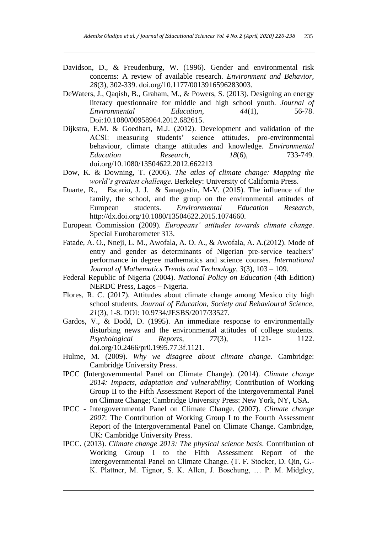- Davidson, D., & Freudenburg, W. (1996). Gender and environmental risk concerns: A review of available research. *Environment and Behavior, 28*(3), 302-339. [doi.org/10.1177/0013916596283003.](https://doi.org/10.1177/0013916596283003)
- DeWaters, J., Qaqish, B., Graham, M., & Powers, S. (2013). Designing an energy literacy questionnaire for middle and high school youth. *Journal of Environmental* Education, 44(1), 56-78. *Environmental Education, 44*(1), 56-78. Doi[:10.1080/00958964.2012.682615.](https://doi.org/10.1080/00958964.2012.682615)
- Dijkstra, E.M. & Goedhart, M.J. (2012). Development and validation of the ACSI: measuring students' science attitudes, pro-environmental behaviour, climate change attitudes and knowledge. *Environmental Education Research, 18*(6), 733-749. [doi.org/10.1080/13504622.2012.662213](https://doi.org/10.1080/13504622.2012.662213)
- Dow, K. & Downing, T. (2006). *The atlas of climate change: Mapping the world's greatest challenge*. Berkeley: University of California Press.
- Duarte, R., Escario, J. J. & Sanagustín, M-V. (2015). The influence of the family, the school, and the group on the environmental attitudes of European students. *Environmental Education Research*, http://dx.doi.org/10.1080/13504622.2015.1074660.
- European Commission (2009). *Europeans' attitudes towards climate change*. Special Eurobarometer 313.
- Fatade, A. O., Nneji, L. M., Awofala, A. O. A., & Awofala, A. A.(2012). Mode of entry and gender as determinants of Nigerian pre-service teachers' performance in degree mathematics and science courses. *International Journal of Mathematics Trends and Technology, 3*(3), 103 – 109.
- Federal Republic of Nigeria (2004). *National Policy on Education* (4th Edition) NERDC Press, Lagos – Nigeria.
- Flores, R. C. (2017). Attitudes about climate change among Mexico city high school students. *Journal of Education, Society and Behavioural Science, 21*(3), 1-8. DOI: 10.9734/JESBS/2017/33527.
- Gardos, V., & Dodd, D. (1995). An immediate response to environmentally disturbing news and the environmental attitudes of college students. *Psychological Reports, 77*(3), 1121- 1122. [doi.org/10.2466/pr0.1995.77.3f.1121.](https://doi.org/10.2466/pr0.1995.77.3f.1121)
- Hulme, M. (2009). *Why we disagree about climate change*. Cambridge: Cambridge University Press.
- IPCC (Intergovernmental Panel on Climate Change). (2014). *Climate change 2014: Impacts, adaptation and vulnerability*; Contribution of Working Group II to the Fifth Assessment Report of the Intergovernmental Panel on Climate Change; Cambridge University Press: New York, NY, USA.
- IPCC Intergovernmental Panel on Climate Change. (2007). *Climate change 2007*: The Contribution of Working Group I to the Fourth Assessment Report of the Intergovernmental Panel on Climate Change. Cambridge, UK: Cambridge University Press.
- IPCC. (2013). *Climate change 2013: The physical science basis*. Contribution of Working Group I to the Fifth Assessment Report of the Intergovernmental Panel on Climate Change. (T. F. Stocker, D. Qin, G.- K. Plattner, M. Tignor, S. K. Allen, J. Boschung, … P. M. Midgley,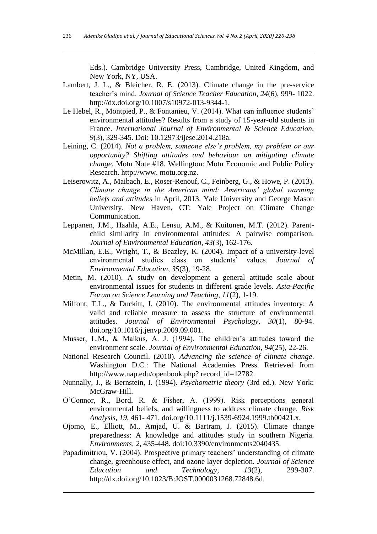Eds.). Cambridge University Press, Cambridge, United Kingdom, and New York, NY, USA.

- Lambert, J. L., & Bleicher, R. E. (2013). Climate change in the pre-service teacher's mind. *Journal of Science Teacher Education, 24*(6), 999- 1022. [http://dx.doi.org/10.1007/s10972-013-9344-1.](http://dx.doi.org/10.1007/s10972-013-9344-1)
- Le Hebel, R., Montpied, P., & Fontanieu, V. (2014). What can influence students' environmental attitudes? Results from a study of 15-year-old students in France. *International Journal of Environmental & Science Education, 9*(3), 329-345. Doi: 10.12973/ijese.2014.218a.
- Leining, C. (2014). *Not a problem, someone else's problem, my problem or our opportunity? Shifting attitudes and behaviour on mitigating climate change*. Motu Note #18. Wellington: Motu Economic and Public Policy Research. http://www. motu.org.nz.
- Leiserowitz, A., Maibach, E., Roser-Renouf, C., Feinberg, G., & Howe, P. (2013). *Climate change in the American mind: Americans' global warming beliefs and attitudes* in April, 2013. Yale University and George Mason University. New Haven, CT: Yale Project on Climate Change Communication.
- Leppanen, J.M., Haahla, A.E., Lensu, A.M., & Kuitunen, M.T. (2012). Parentchild similarity in environmental attitudes: A pairwise comparison. *Journal of Environmental Education, 43*(3), 162-176.
- McMillan, E.E., Wright, T., & Beazley, K. (2004). Impact of a university-level environmental studies class on students' values. *Journal of Environmental Education, 35*(3), 19-28.
- Metin, M. (2010). A study on development a general attitude scale about environmental issues for students in different grade levels. *Asia-Pacific Forum on Science Learning and Teaching, 11*(2), 1-19.
- Milfont, T.L., & Duckitt, J. (2010). The environmental attitudes inventory: A valid and reliable measure to assess the structure of environmental attitudes. *Journal of Environmental Psychology, 30*(1), 80-94. [doi.org/10.1016/j.jenvp.2009.09.001.](http://psycnet.apa.org/doi/10.1016/j.jenvp.2009.09.001)
- Musser, L.M., & Malkus, A. J. (1994). The children's attitudes toward the environment scale. *Journal of Environmental Education, 94*(25), 22-26.
- National Research Council. (2010). *Advancing the science of climate change*. Washington D.C.: The National Academies Press. Retrieved from http://www.nap.edu/openbook.php? record\_id=12782.
- Nunnally, J., & Bernstein, I. (1994). *Psychometric theory* (3rd ed.). New York: McGraw-Hill.
- O'Connor, R., Bord, R. & Fisher, A. (1999). Risk perceptions general environmental beliefs, and willingness to address climate change. *Risk Analysis, 19*, 461- 471. [doi.org/10.1111/j.1539-6924.1999.tb00421.x.](https://doi.org/10.1111/j.1539-6924.1999.tb00421.x)
- Ojomo, E., Elliott, M., Amjad, U. & Bartram, J. (2015). Climate change preparedness: A knowledge and attitudes study in southern Nigeria. *Environments, 2,* 435-448. doi:10.3390/environments2040435.
- Papadimitriou, V. (2004). Prospective primary teachers' understanding of climate change, greenhouse effect, and ozone layer depletion. *Journal of Science Education and Technology, 13*(2), 299-307. http://dx.doi.org/10.1023/B:JOST.0000031268.72848.6d.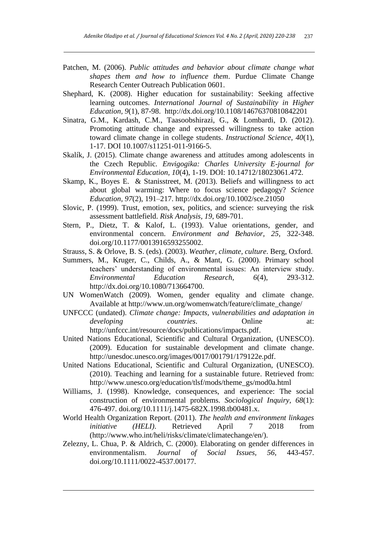- Patchen, M. (2006). *Public attitudes and behavior about climate change what shapes them and how to influence them*. Purdue Climate Change Research Center Outreach Publication 0601.
- Shephard, K. (2008). Higher education for sustainability: Seeking affective learning outcomes. *International Journal of Sustainability in Higher Education, 9*(1), 87-98. http://dx.doi.org/10.1108/14676370810842201
- Sinatra, G.M., Kardash, C.M., Taasoobshirazi, G., & Lombardi, D. (2012). Promoting attitude change and expressed willingness to take action toward climate change in college students. *Instructional Science, 40*(1), 1-17. DOI 10.1007/s11251-011-9166-5.
- Skalík, J. (2015). Climate change awareness and attitudes among adolescents in the Czech Republic. *Envigogika: Charles University E-journal for Environmental Education, 10*(4), 1-19. DOI: 10.14712/18023061.472.
- Skamp, K., Boyes E. & Stanisstreet, M. (2013). Beliefs and willingness to act about global warming: Where to focus science pedagogy? *Science Education, 97*(2), 191–217. http://dx.doi.org/10.1002/sce.21050
- Slovic, P. (1999). Trust, emotion, sex, politics, and science: surveying the risk assessment battlefield. *Risk Analysis, 19*, 689-701.
- Stern, P., Dietz, T. & Kalof, L. (1993). Value orientations, gender, and environmental concern. *Environment and Behavior, 25,* 322-348. [doi.org/10.1177/0013916593255002.](https://doi.org/10.1177/0013916593255002)
- Strauss, S. & Orlove, B. S. (eds). (2003). *Weather, climate, culture*. Berg, Oxford.
- Summers, M., Kruger, C., Childs, A., & Mant, G. (2000). Primary school teachers' understanding of environmental issues: An interview study. *Environmental Education Research, 6*(4), 293-312. [http://dx.doi.org/10.1080/713664700.](http://dx.doi.org/10.1080/713664700)
- UN WomenWatch (2009). Women, gender equality and climate change. Available at http://www.un.org/womenwatch/feature/climate\_change/
- UNFCCC (undated). *Climate change: Impacts, vulnerabilities and adaptation in developing countries.* Online at: [http://unfccc.int/resource/docs/publications/impacts.pdf.](http://unfccc.int/resource/docs/publications/impacts.pdf)
- United Nations Educational, Scientific and Cultural Organization, (UNESCO). (2009). Education for sustainable development and climate change. http://unesdoc.unesco.org/images/0017/001791/179122e.pdf.
- United Nations Educational, Scientific and Cultural Organization, (UNESCO). (2010). Teaching and learning for a sustainable future. Retrieved from: http://www.unesco.org/education/tlsf/mods/theme\_gs/mod0a.html
- Williams, J. (1998). Knowledge, consequences, and experience: The social construction of environmental problems. *Sociological Inquiry, 68*(1): 476-497. [doi.org/10.1111/j.1475-682X.1998.tb00481.x.](https://doi.org/10.1111/j.1475-682X.1998.tb00481.x)
- World Health Organization Report. (2011). *The health and environment linkages initiative (HELI)*. Retrieved April 7 2018 from [\(http://www.who.int/heli/risks/climate/climatechange/en/\)](http://www.who.int/heli/risks/climate/climatechange/en/).
- Zelezny, L. Chua, P. & Aldrich, C. (2000). Elaborating on gender differences in environmentalism. *Journal of Social Issues, 56*, 443-457. [doi.org/10.1111/0022-4537.00177.](https://doi.org/10.1111/0022-4537.00177)